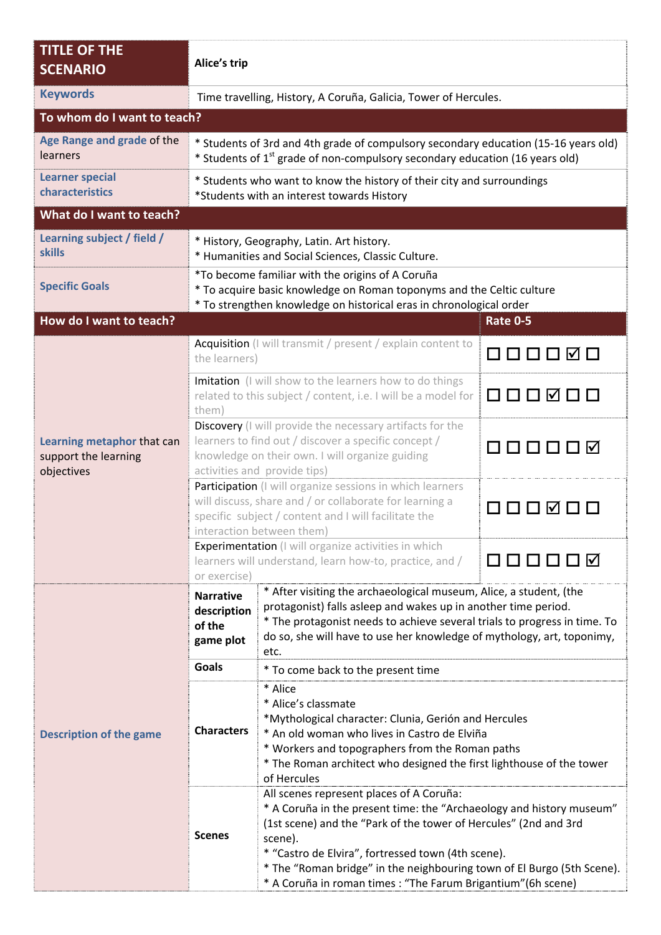| <b>TITLE OF THE</b><br><b>SCENARIO</b>                           | Alice's trip                                                                                                                                                                                                     |                                                                                                                                                                                                                                                                                                                                                                                                  |                 |  |  |  |
|------------------------------------------------------------------|------------------------------------------------------------------------------------------------------------------------------------------------------------------------------------------------------------------|--------------------------------------------------------------------------------------------------------------------------------------------------------------------------------------------------------------------------------------------------------------------------------------------------------------------------------------------------------------------------------------------------|-----------------|--|--|--|
| <b>Keywords</b>                                                  |                                                                                                                                                                                                                  | Time travelling, History, A Coruña, Galicia, Tower of Hercules.                                                                                                                                                                                                                                                                                                                                  |                 |  |  |  |
| To whom do I want to teach?                                      |                                                                                                                                                                                                                  |                                                                                                                                                                                                                                                                                                                                                                                                  |                 |  |  |  |
| Age Range and grade of the<br>learners                           | * Students of 3rd and 4th grade of compulsory secondary education (15-16 years old)<br>* Students of 1 <sup>st</sup> grade of non-compulsory secondary education (16 years old)                                  |                                                                                                                                                                                                                                                                                                                                                                                                  |                 |  |  |  |
| <b>Learner special</b><br>characteristics                        |                                                                                                                                                                                                                  | * Students who want to know the history of their city and surroundings<br>*Students with an interest towards History                                                                                                                                                                                                                                                                             |                 |  |  |  |
| What do I want to teach?                                         |                                                                                                                                                                                                                  |                                                                                                                                                                                                                                                                                                                                                                                                  |                 |  |  |  |
| Learning subject / field /<br><b>skills</b>                      | * History, Geography, Latin. Art history.<br>* Humanities and Social Sciences, Classic Culture.                                                                                                                  |                                                                                                                                                                                                                                                                                                                                                                                                  |                 |  |  |  |
| <b>Specific Goals</b>                                            | *To become familiar with the origins of A Coruña<br>* To acquire basic knowledge on Roman toponyms and the Celtic culture<br>* To strengthen knowledge on historical eras in chronological order                 |                                                                                                                                                                                                                                                                                                                                                                                                  |                 |  |  |  |
| How do I want to teach?                                          |                                                                                                                                                                                                                  |                                                                                                                                                                                                                                                                                                                                                                                                  | <b>Rate 0-5</b> |  |  |  |
| Learning metaphor that can<br>support the learning<br>objectives | Acquisition (I will transmit / present / explain content to<br>the learners)                                                                                                                                     |                                                                                                                                                                                                                                                                                                                                                                                                  | 000000          |  |  |  |
|                                                                  | Imitation (I will show to the learners how to do things<br>related to this subject / content, i.e. I will be a model for<br>them)                                                                                |                                                                                                                                                                                                                                                                                                                                                                                                  | 000000          |  |  |  |
|                                                                  | Discovery (I will provide the necessary artifacts for the<br>learners to find out / discover a specific concept /<br>888888<br>knowledge on their own. I will organize guiding<br>activities and provide tips)   |                                                                                                                                                                                                                                                                                                                                                                                                  |                 |  |  |  |
|                                                                  | Participation (I will organize sessions in which learners<br>will discuss, share and / or collaborate for learning a<br> v <br>specific subject / content and I will facilitate the<br>interaction between them) |                                                                                                                                                                                                                                                                                                                                                                                                  |                 |  |  |  |
|                                                                  | <b>Experimentation</b> (I will organize activities in which<br>learners will understand, learn how-to, practice, and /<br>or exercise)                                                                           |                                                                                                                                                                                                                                                                                                                                                                                                  |                 |  |  |  |
| <b>Description of the game</b>                                   | <b>Narrative</b><br>description<br>of the<br>game plot<br><b>Goals</b>                                                                                                                                           | * After visiting the archaeological museum, Alice, a student, (the<br>protagonist) falls asleep and wakes up in another time period.<br>* The protagonist needs to achieve several trials to progress in time. To<br>do so, she will have to use her knowledge of mythology, art, toponimy,<br>etc.                                                                                              |                 |  |  |  |
|                                                                  |                                                                                                                                                                                                                  | * To come back to the present time                                                                                                                                                                                                                                                                                                                                                               |                 |  |  |  |
|                                                                  | <b>Characters</b>                                                                                                                                                                                                | * Alice<br>* Alice's classmate<br>*Mythological character: Clunia, Gerión and Hercules<br>* An old woman who lives in Castro de Elviña<br>* Workers and topographers from the Roman paths<br>* The Roman architect who designed the first lighthouse of the tower<br>of Hercules                                                                                                                 |                 |  |  |  |
|                                                                  | <b>Scenes</b>                                                                                                                                                                                                    | All scenes represent places of A Coruña:<br>* A Coruña in the present time: the "Archaeology and history museum"<br>(1st scene) and the "Park of the tower of Hercules" (2nd and 3rd<br>scene).<br>* "Castro de Elvira", fortressed town (4th scene).<br>* The "Roman bridge" in the neighbouring town of El Burgo (5th Scene).<br>* A Coruña in roman times : "The Farum Brigantium" (6h scene) |                 |  |  |  |